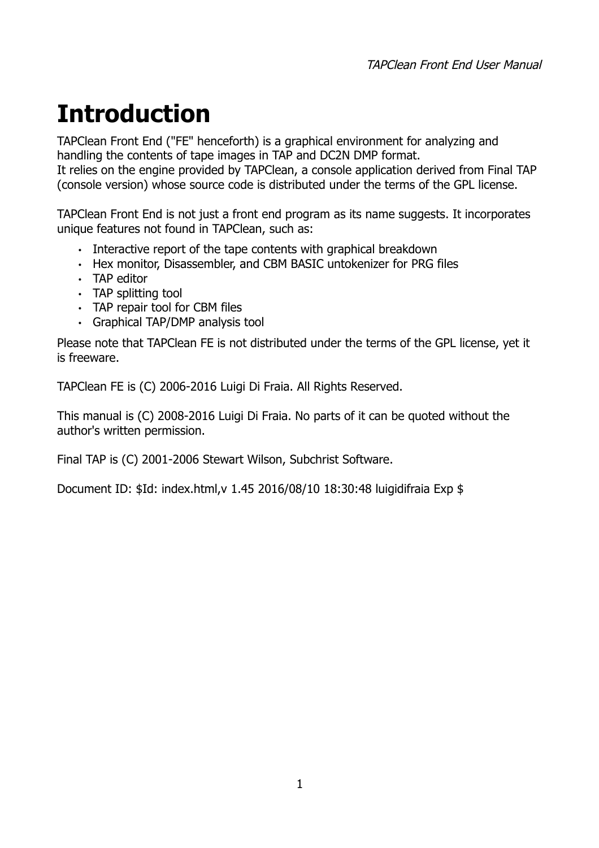# <span id="page-0-0"></span>**Introduction**

TAPClean Front End ("FE" henceforth) is a graphical environment for analyzing and handling the contents of tape images in TAP and DC2N DMP format. It relies on the engine provided by TAPClean, a console application derived from Final TAP (console version) whose source code is distributed under the terms of the GPL license.

TAPClean Front End is not just a front end program as its name suggests. It incorporates unique features not found in TAPClean, such as:

- Interactive report of the tape contents with graphical breakdown
- Hex monitor, Disassembler, and CBM BASIC untokenizer for PRG files
- TAP editor
- TAP splitting tool
- TAP repair tool for CBM files
- Graphical TAP/DMP analysis tool

Please note that TAPClean FE is not distributed under the terms of the GPL license, yet it is freeware.

TAPClean FE is (C) 2006-2016 Luigi Di Fraia. All Rights Reserved.

This manual is (C) 2008-2016 Luigi Di Fraia. No parts of it can be quoted without the author's written permission.

Final TAP is (C) 2001-2006 Stewart Wilson, Subchrist Software.

Document ID: \$Id: index.html,v 1.45 2016/08/10 18:30:48 luigidifraia Exp \$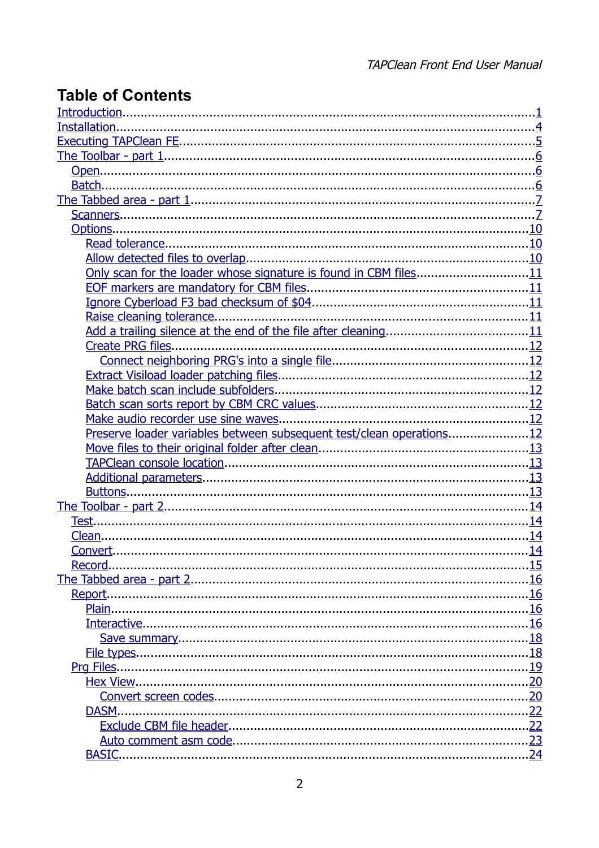## **Table of Contents**

| Only scan for the loader whose signature is found in CBM files11     |  |
|----------------------------------------------------------------------|--|
|                                                                      |  |
|                                                                      |  |
|                                                                      |  |
|                                                                      |  |
|                                                                      |  |
|                                                                      |  |
|                                                                      |  |
|                                                                      |  |
|                                                                      |  |
|                                                                      |  |
| Preserve loader variables between subsequent test/clean operations12 |  |
|                                                                      |  |
|                                                                      |  |
|                                                                      |  |
|                                                                      |  |
|                                                                      |  |
|                                                                      |  |
|                                                                      |  |
|                                                                      |  |
| Record.                                                              |  |
|                                                                      |  |
|                                                                      |  |
|                                                                      |  |
|                                                                      |  |
|                                                                      |  |
|                                                                      |  |
|                                                                      |  |
|                                                                      |  |
|                                                                      |  |
| DASM.                                                                |  |
|                                                                      |  |
| <b>BASIC.</b>                                                        |  |
|                                                                      |  |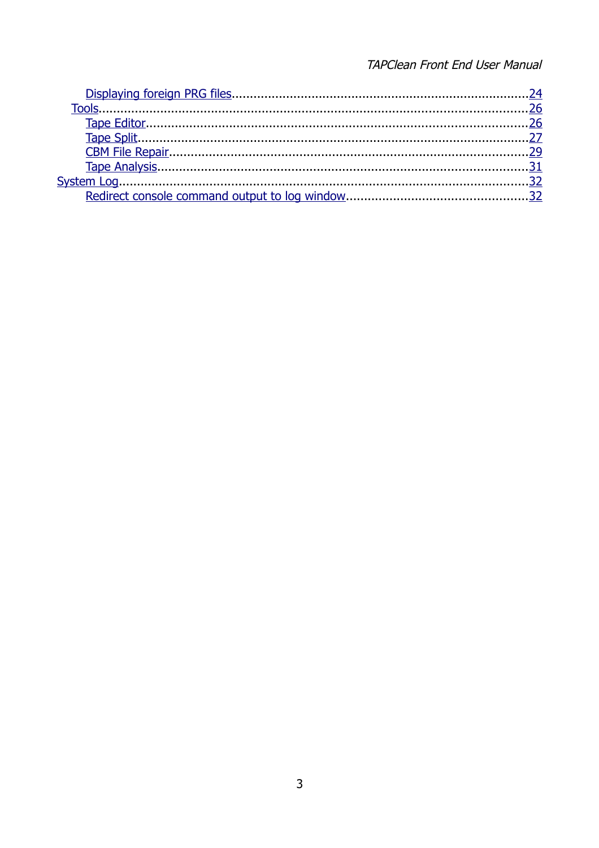#### TAPClean Front End User Manual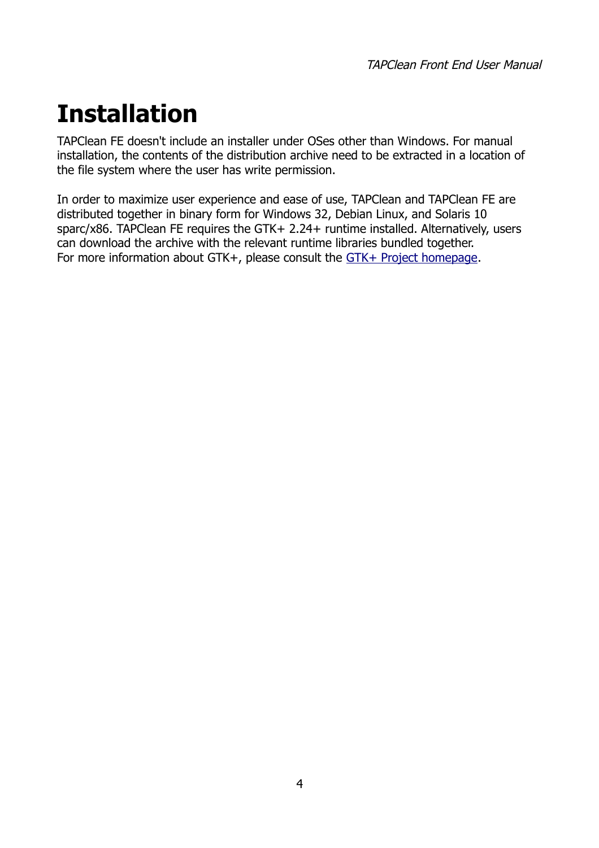# <span id="page-3-0"></span>**Installation**

TAPClean FE doesn't include an installer under OSes other than Windows. For manual installation, the contents of the distribution archive need to be extracted in a location of the file system where the user has write permission.

In order to maximize user experience and ease of use, TAPClean and TAPClean FE are distributed together in binary form for Windows 32, Debian Linux, and Solaris 10 sparc/x86. TAPClean FE requires the GTK+ 2.24+ runtime installed. Alternatively, users can download the archive with the relevant runtime libraries bundled together. For more information about GTK+, please consult the [GTK+ Project homepage.](http://www.gtk.org/)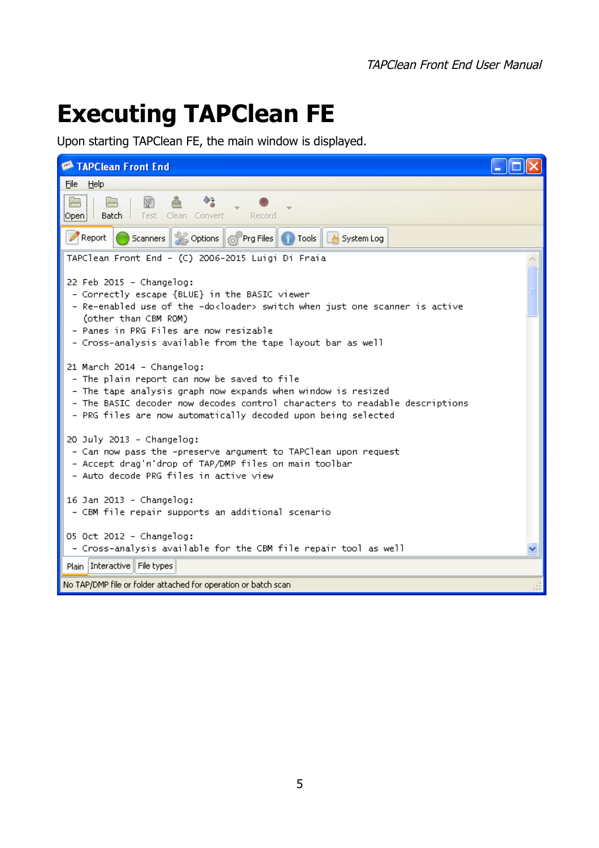# <span id="page-4-0"></span>**Executing TAPClean FE**

Upon starting TAPClean FE, the main window is displayed.

| TAPClean Front End                                                                                                                                                                                                                                                                                    |  |
|-------------------------------------------------------------------------------------------------------------------------------------------------------------------------------------------------------------------------------------------------------------------------------------------------------|--|
| Help<br>Eile                                                                                                                                                                                                                                                                                          |  |
| Batch  <br>Clean Convert<br>Test<br><b>Record</b><br>¦Open¦                                                                                                                                                                                                                                           |  |
| Report<br>Scanners Scoptions 6 Prg Files Tools & System Log                                                                                                                                                                                                                                           |  |
| TAPClean Front End - (C) 2006-2015 Luigi Di Fraia                                                                                                                                                                                                                                                     |  |
| 22 Feb 2015 - Changelog:<br>- Correctly escape {BLUE} in the BASIC viewer<br>- Re-enabled use of the -do <loader> switch when just one scanner is active<br/>(other than CBM ROM)<br/>- Panes in PRG Files are now resizable<br/>- Cross-analysis available from the tape layout bar as well</loader> |  |
| 21 March 2014 - Changelog:<br>- The plain report can now be saved to file<br>- The tape analysis graph now expands when window is resized<br>- The BASIC decoder now decodes control characters to readable descriptions<br>- PRG files are now automatically decoded upon being selected             |  |
| $20$ July $2013$ - Changelog:<br>- Can now pass the -preserve argument to TAPClean upon request<br>- Accept drag'n'drop of TAP/DMP files on main toolbar<br>- Auto decode PRG files in active view                                                                                                    |  |
| 16 Jan 2013 - Changelog:<br>- CBM file repair supports an additional scenario                                                                                                                                                                                                                         |  |
| 05 Oct 2012 - Changelog:<br>- Cross-analysis available for the CBM file repair tool as well                                                                                                                                                                                                           |  |
| Plain   Interactive   File types                                                                                                                                                                                                                                                                      |  |
| No TAP/DMP file or folder attached for operation or batch scan                                                                                                                                                                                                                                        |  |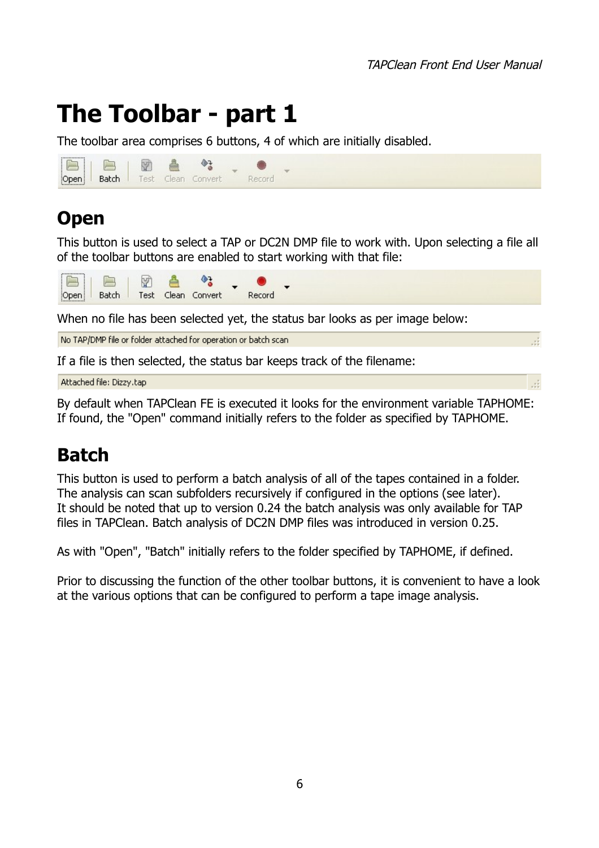# <span id="page-5-2"></span>**The Toolbar - part 1**

The toolbar area comprises 6 buttons, 4 of which are initially disabled.



## <span id="page-5-1"></span>**Open**

This button is used to select a TAP or DC2N DMP file to work with. Upon selecting a file all of the toolbar buttons are enabled to start working with that file:



When no file has been selected yet, the status bar looks as per image below:

No TAP/DMP file or folder attached for operation or batch scan

If a file is then selected, the status bar keeps track of the filename:

Attached file: Dizzy.tap

By default when TAPClean FE is executed it looks for the environment variable TAPHOME: If found, the "Open" command initially refers to the folder as specified by TAPHOME.

## <span id="page-5-0"></span>**Batch**

This button is used to perform a batch analysis of all of the tapes contained in a folder. The analysis can scan subfolders recursively if configured in the options (see later). It should be noted that up to version 0.24 the batch analysis was only available for TAP files in TAPClean. Batch analysis of DC2N DMP files was introduced in version 0.25.

As with "Open", "Batch" initially refers to the folder specified by TAPHOME, if defined.

Prior to discussing the function of the other toolbar buttons, it is convenient to have a look at the various options that can be configured to perform a tape image analysis.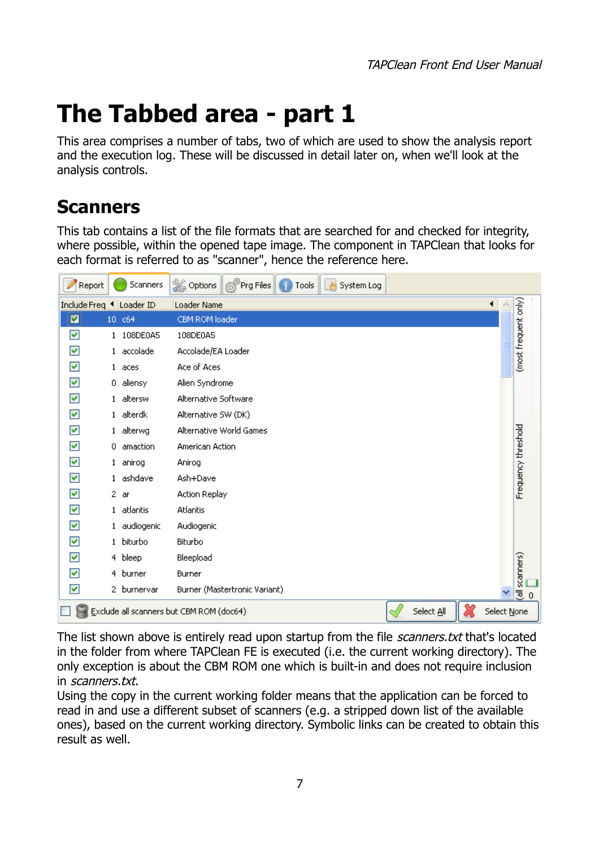# <span id="page-6-1"></span>**The Tabbed area - part 1**

This area comprises a number of tabs, two of which are used to show the analysis report and the execution log. These will be discussed in detail later on, when we'll look at the analysis controls.

## <span id="page-6-0"></span>**Scanners**

This tab contains a list of the file formats that are searched for and checked for integrity, where possible, within the opened tape image. The component in TAPClean that looks for each format is referred to as "scanner", hence the reference here.



The list shown above is entirely read upon startup from the file *scanners.txt* that's located in the folder from where TAPClean FE is executed (i.e. the current working directory). The only exception is about the CBM ROM one which is built-in and does not require inclusion in scanners.txt.

Using the copy in the current working folder means that the application can be forced to read in and use a different subset of scanners (e.g. a stripped down list of the available ones), based on the current working directory. Symbolic links can be created to obtain this result as well.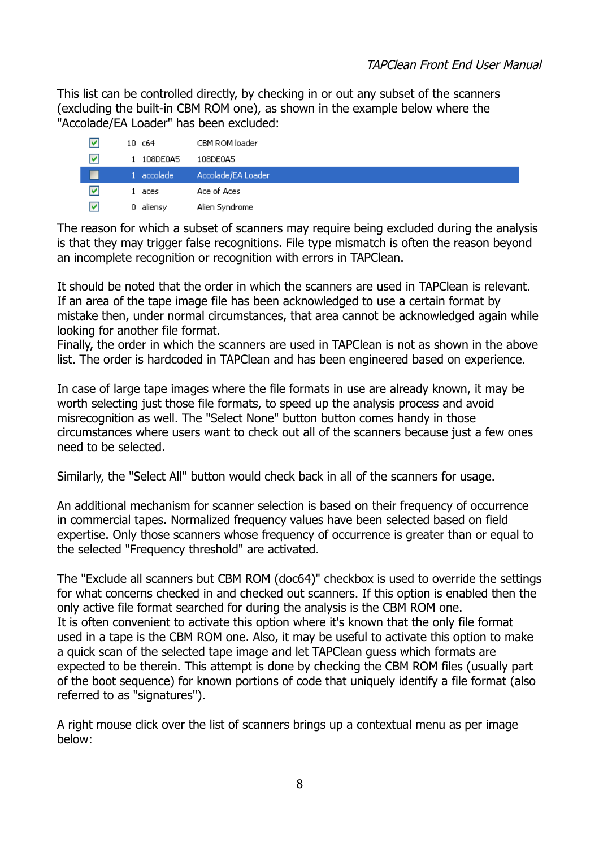This list can be controlled directly, by checking in or out any subset of the scanners (excluding the built-in CBM ROM one), as shown in the example below where the "Accolade/EA Loader" has been excluded:

| M | 10c64      | CBM ROM loader     |
|---|------------|--------------------|
| M | 108DE0A5   | 108DE0A5           |
|   | 1 accolade | Accolade/EA Loader |
| M | 1 aces     | Ace of Aces        |
| M | aliensy    | Alien Syndrome     |

The reason for which a subset of scanners may require being excluded during the analysis is that they may trigger false recognitions. File type mismatch is often the reason beyond an incomplete recognition or recognition with errors in TAPClean.

It should be noted that the order in which the scanners are used in TAPClean is relevant. If an area of the tape image file has been acknowledged to use a certain format by mistake then, under normal circumstances, that area cannot be acknowledged again while looking for another file format.

Finally, the order in which the scanners are used in TAPClean is not as shown in the above list. The order is hardcoded in TAPClean and has been engineered based on experience.

In case of large tape images where the file formats in use are already known, it may be worth selecting just those file formats, to speed up the analysis process and avoid misrecognition as well. The "Select None" button button comes handy in those circumstances where users want to check out all of the scanners because just a few ones need to be selected.

Similarly, the "Select All" button would check back in all of the scanners for usage.

An additional mechanism for scanner selection is based on their frequency of occurrence in commercial tapes. Normalized frequency values have been selected based on field expertise. Only those scanners whose frequency of occurrence is greater than or equal to the selected "Frequency threshold" are activated.

The "Exclude all scanners but CBM ROM (doc64)" checkbox is used to override the settings for what concerns checked in and checked out scanners. If this option is enabled then the only active file format searched for during the analysis is the CBM ROM one. It is often convenient to activate this option where it's known that the only file format used in a tape is the CBM ROM one. Also, it may be useful to activate this option to make a quick scan of the selected tape image and let TAPClean guess which formats are expected to be therein. This attempt is done by checking the CBM ROM files (usually part of the boot sequence) for known portions of code that uniquely identify a file format (also referred to as "signatures").

A right mouse click over the list of scanners brings up a contextual menu as per image below: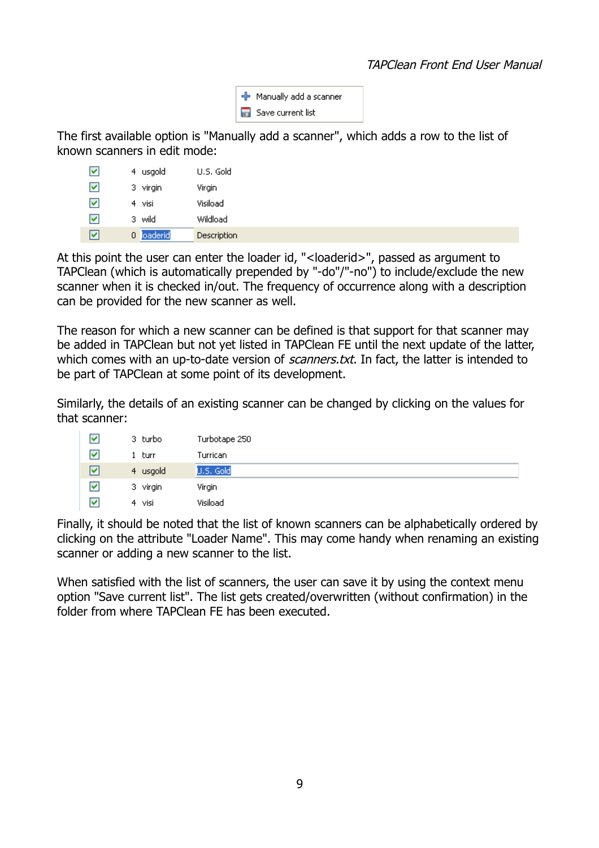

The first available option is "Manually add a scanner", which adds a row to the list of known scanners in edit mode:

| V | 4 usgold   | U.S. Gold   |
|---|------------|-------------|
| M | 3 virgin   | Virgin      |
| M | 4 visi     | Visiload    |
| M | 3 wild     | Wildload    |
| է | 0 loaderid | Description |

At this point the user can enter the loader id, "<loaderid>", passed as argument to TAPClean (which is automatically prepended by "-do"/"-no") to include/exclude the new scanner when it is checked in/out. The frequency of occurrence along with a description can be provided for the new scanner as well.

The reason for which a new scanner can be defined is that support for that scanner may be added in TAPClean but not yet listed in TAPClean FE until the next update of the latter, which comes with an up-to-date version of *scanners.txt*. In fact, the latter is intended to be part of TAPClean at some point of its development.

Similarly, the details of an existing scanner can be changed by clicking on the values for that scanner:

| V                       | 3 turbo   | Turbotape 250 |
|-------------------------|-----------|---------------|
| $\overline{\mathbf{v}}$ | turr      | Turrican      |
| ☑                       | 4 usgold  | U.S. Gold     |
| ⊽                       | 3 virgin  | Virgin        |
| ⊽                       | visi<br>4 | Visiload      |

Finally, it should be noted that the list of known scanners can be alphabetically ordered by clicking on the attribute "Loader Name". This may come handy when renaming an existing scanner or adding a new scanner to the list.

When satisfied with the list of scanners, the user can save it by using the context menu option "Save current list". The list gets created/overwritten (without confirmation) in the folder from where TAPClean FE has been executed.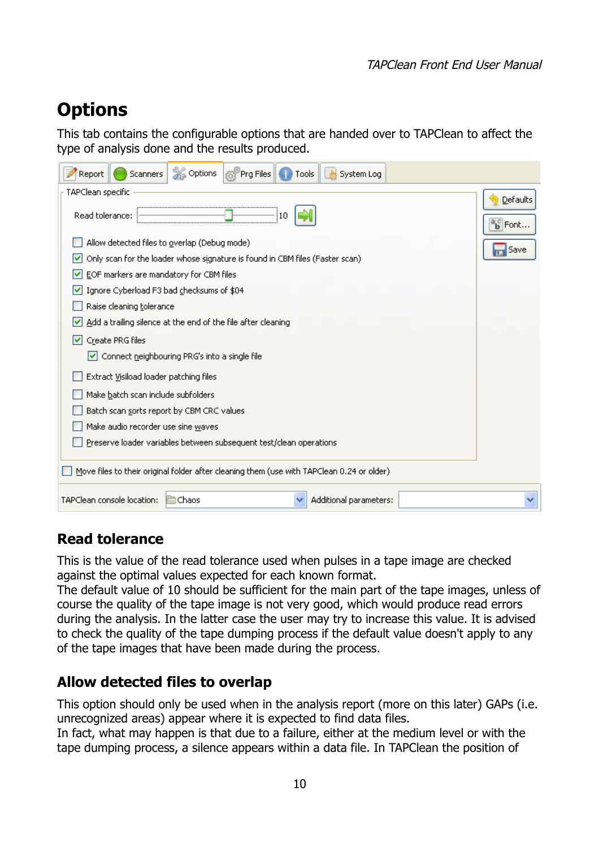# <span id="page-9-2"></span>**Options**

This tab contains the configurable options that are handed over to TAPClean to affect the type of analysis done and the results produced.

| <b>S</b> Options<br>Prg Files<br>Report<br>System Log<br><b>Scanners</b><br><b>Tools</b>                                                                                                                                                                                                                                                                                                                                                                          |                                                    |
|-------------------------------------------------------------------------------------------------------------------------------------------------------------------------------------------------------------------------------------------------------------------------------------------------------------------------------------------------------------------------------------------------------------------------------------------------------------------|----------------------------------------------------|
| TAPClean specific<br>Read tolerance:<br>10<br>Allow detected files to overlap (Debug mode)<br>Only scan for the loader whose signature is found in CBM files (Faster scan)<br>M<br>EOF markers are mandatory for CBM files<br>M<br>Ignore Cyberload F3 bad checksums of \$04<br>v<br>Raise cleaning tolerance<br>Add a trailing silence at the end of the file after cleaning<br>M<br>Create PRG files<br>M<br>Connect neighbouring PRG's into a single file<br>M | Defaults<br>$a_{\mathbf{b}}^c$ Font<br><b>Save</b> |
| Extract Visiload loader patching files<br>Make batch scan include subfolders<br>Batch scan sorts report by CBM CRC values<br>Make audio recorder use sine waves<br>Preserve loader variables between subsequent test/clean operations<br>Move files to their original folder after cleaning them (use with TAPClean 0.24 or older)                                                                                                                                |                                                    |
| TAPClean console location:<br>Chaos<br>Additional parameters:                                                                                                                                                                                                                                                                                                                                                                                                     |                                                    |

### <span id="page-9-1"></span>**Read tolerance**

This is the value of the read tolerance used when pulses in a tape image are checked against the optimal values expected for each known format.

The default value of 10 should be sufficient for the main part of the tape images, unless of course the quality of the tape image is not very good, which would produce read errors during the analysis. In the latter case the user may try to increase this value. It is advised to check the quality of the tape dumping process if the default value doesn't apply to any of the tape images that have been made during the process.

### <span id="page-9-0"></span>**Allow detected files to overlap**

This option should only be used when in the analysis report (more on this later) GAPs (i.e. unrecognized areas) appear where it is expected to find data files.

In fact, what may happen is that due to a failure, either at the medium level or with the tape dumping process, a silence appears within a data file. In TAPClean the position of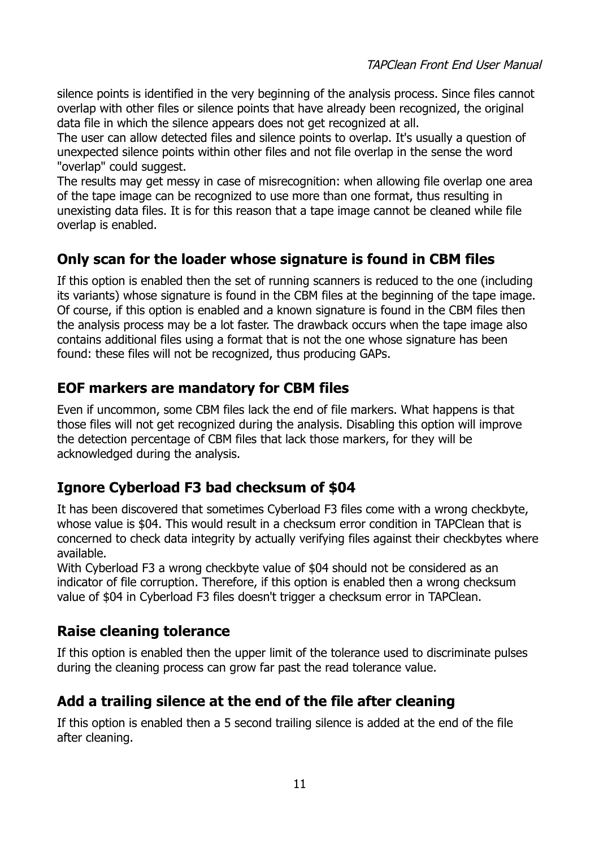silence points is identified in the very beginning of the analysis process. Since files cannot overlap with other files or silence points that have already been recognized, the original data file in which the silence appears does not get recognized at all.

The user can allow detected files and silence points to overlap. It's usually a question of unexpected silence points within other files and not file overlap in the sense the word "overlap" could suggest.

The results may get messy in case of misrecognition: when allowing file overlap one area of the tape image can be recognized to use more than one format, thus resulting in unexisting data files. It is for this reason that a tape image cannot be cleaned while file overlap is enabled.

### <span id="page-10-4"></span>**Only scan for the loader whose signature is found in CBM files**

If this option is enabled then the set of running scanners is reduced to the one (including its variants) whose signature is found in the CBM files at the beginning of the tape image. Of course, if this option is enabled and a known signature is found in the CBM files then the analysis process may be a lot faster. The drawback occurs when the tape image also contains additional files using a format that is not the one whose signature has been found: these files will not be recognized, thus producing GAPs.

### <span id="page-10-3"></span>**EOF markers are mandatory for CBM files**

Even if uncommon, some CBM files lack the end of file markers. What happens is that those files will not get recognized during the analysis. Disabling this option will improve the detection percentage of CBM files that lack those markers, for they will be acknowledged during the analysis.

### <span id="page-10-2"></span>**Ignore Cyberload F3 bad checksum of \$04**

It has been discovered that sometimes Cyberload F3 files come with a wrong checkbyte, whose value is \$04. This would result in a checksum error condition in TAPClean that is concerned to check data integrity by actually verifying files against their checkbytes where available.

With Cyberload F3 a wrong checkbyte value of \$04 should not be considered as an indicator of file corruption. Therefore, if this option is enabled then a wrong checksum value of \$04 in Cyberload F3 files doesn't trigger a checksum error in TAPClean.

### <span id="page-10-1"></span>**Raise cleaning tolerance**

If this option is enabled then the upper limit of the tolerance used to discriminate pulses during the cleaning process can grow far past the read tolerance value.

### <span id="page-10-0"></span>**Add a trailing silence at the end of the file after cleaning**

If this option is enabled then a 5 second trailing silence is added at the end of the file after cleaning.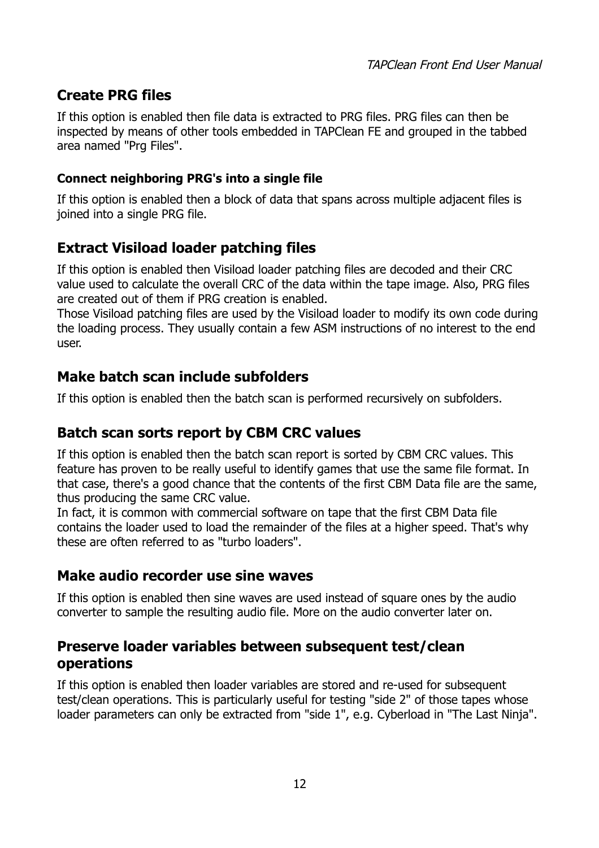### <span id="page-11-6"></span>**Create PRG files**

If this option is enabled then file data is extracted to PRG files. PRG files can then be inspected by means of other tools embedded in TAPClean FE and grouped in the tabbed area named "Prg Files".

#### <span id="page-11-5"></span>**Connect neighboring PRG's into a single file**

If this option is enabled then a block of data that spans across multiple adjacent files is joined into a single PRG file.

### <span id="page-11-4"></span>**Extract Visiload loader patching files**

If this option is enabled then Visiload loader patching files are decoded and their CRC value used to calculate the overall CRC of the data within the tape image. Also, PRG files are created out of them if PRG creation is enabled.

Those Visiload patching files are used by the Visiload loader to modify its own code during the loading process. They usually contain a few ASM instructions of no interest to the end user.

### <span id="page-11-3"></span>**Make batch scan include subfolders**

If this option is enabled then the batch scan is performed recursively on subfolders.

### <span id="page-11-2"></span>**Batch scan sorts report by CBM CRC values**

If this option is enabled then the batch scan report is sorted by CBM CRC values. This feature has proven to be really useful to identify games that use the same file format. In that case, there's a good chance that the contents of the first CBM Data file are the same, thus producing the same CRC value.

In fact, it is common with commercial software on tape that the first CBM Data file contains the loader used to load the remainder of the files at a higher speed. That's why these are often referred to as "turbo loaders".

### <span id="page-11-1"></span>**Make audio recorder use sine waves**

If this option is enabled then sine waves are used instead of square ones by the audio converter to sample the resulting audio file. More on the audio converter later on.

### <span id="page-11-0"></span>**Preserve loader variables between subsequent test/clean operations**

If this option is enabled then loader variables are stored and re-used for subsequent test/clean operations. This is particularly useful for testing "side 2" of those tapes whose loader parameters can only be extracted from "side 1", e.g. Cyberload in "The Last Ninja".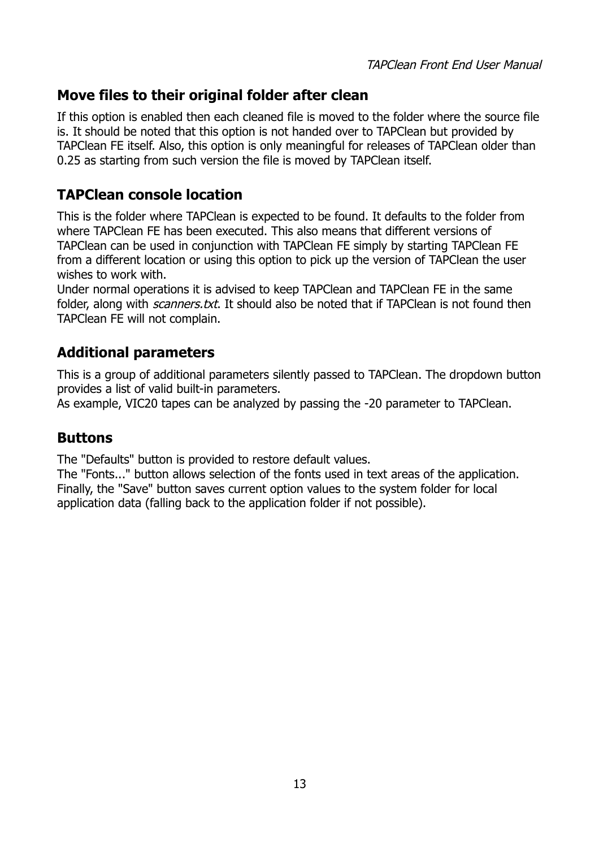### <span id="page-12-3"></span>**Move files to their original folder after clean**

If this option is enabled then each cleaned file is moved to the folder where the source file is. It should be noted that this option is not handed over to TAPClean but provided by TAPClean FE itself. Also, this option is only meaningful for releases of TAPClean older than 0.25 as starting from such version the file is moved by TAPClean itself.

### <span id="page-12-2"></span>**TAPClean console location**

This is the folder where TAPClean is expected to be found. It defaults to the folder from where TAPClean FE has been executed. This also means that different versions of TAPClean can be used in conjunction with TAPClean FE simply by starting TAPClean FE from a different location or using this option to pick up the version of TAPClean the user wishes to work with.

Under normal operations it is advised to keep TAPClean and TAPClean FE in the same folder, along with *scanners.txt*. It should also be noted that if TAPClean is not found then TAPClean FE will not complain.

### <span id="page-12-1"></span>**Additional parameters**

This is a group of additional parameters silently passed to TAPClean. The dropdown button provides a list of valid built-in parameters.

As example, VIC20 tapes can be analyzed by passing the -20 parameter to TAPClean.

### <span id="page-12-0"></span>**Buttons**

The "Defaults" button is provided to restore default values.

The "Fonts..." button allows selection of the fonts used in text areas of the application. Finally, the "Save" button saves current option values to the system folder for local application data (falling back to the application folder if not possible).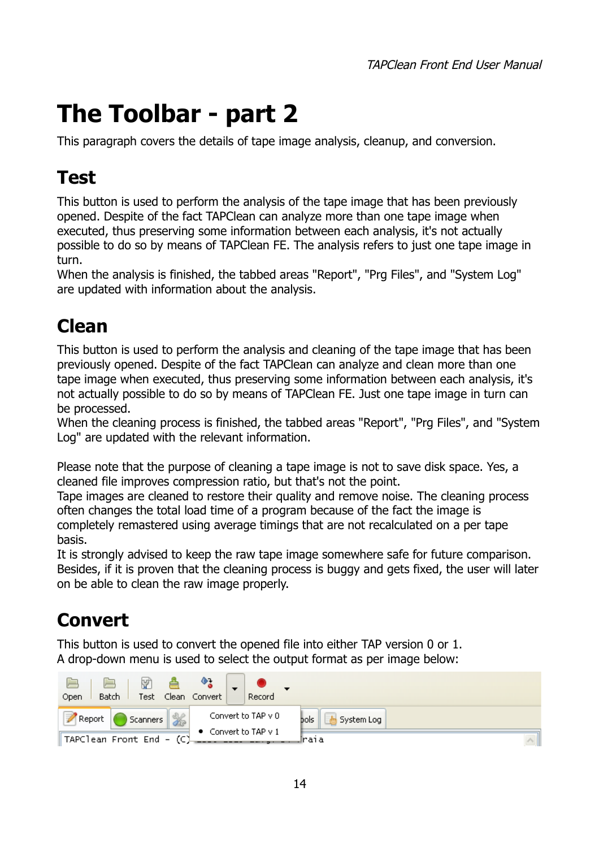# <span id="page-13-3"></span>**The Toolbar - part 2**

This paragraph covers the details of tape image analysis, cleanup, and conversion.

# <span id="page-13-2"></span>**Test**

This button is used to perform the analysis of the tape image that has been previously opened. Despite of the fact TAPClean can analyze more than one tape image when executed, thus preserving some information between each analysis, it's not actually possible to do so by means of TAPClean FE. The analysis refers to just one tape image in turn.

When the analysis is finished, the tabbed areas "Report", "Prg Files", and "System Log" are updated with information about the analysis.

## <span id="page-13-1"></span>**Clean**

This button is used to perform the analysis and cleaning of the tape image that has been previously opened. Despite of the fact TAPClean can analyze and clean more than one tape image when executed, thus preserving some information between each analysis, it's not actually possible to do so by means of TAPClean FE. Just one tape image in turn can be processed.

When the cleaning process is finished, the tabbed areas "Report", "Prg Files", and "System Log" are updated with the relevant information.

Please note that the purpose of cleaning a tape image is not to save disk space. Yes, a cleaned file improves compression ratio, but that's not the point.

Tape images are cleaned to restore their quality and remove noise. The cleaning process often changes the total load time of a program because of the fact the image is completely remastered using average timings that are not recalculated on a per tape basis.

It is strongly advised to keep the raw tape image somewhere safe for future comparison. Besides, if it is proven that the cleaning process is buggy and gets fixed, the user will later on be able to clean the raw image properly.

# <span id="page-13-0"></span>**Convert**

This button is used to convert the opened file into either TAP version 0 or 1. A drop-down menu is used to select the output format as per image below:

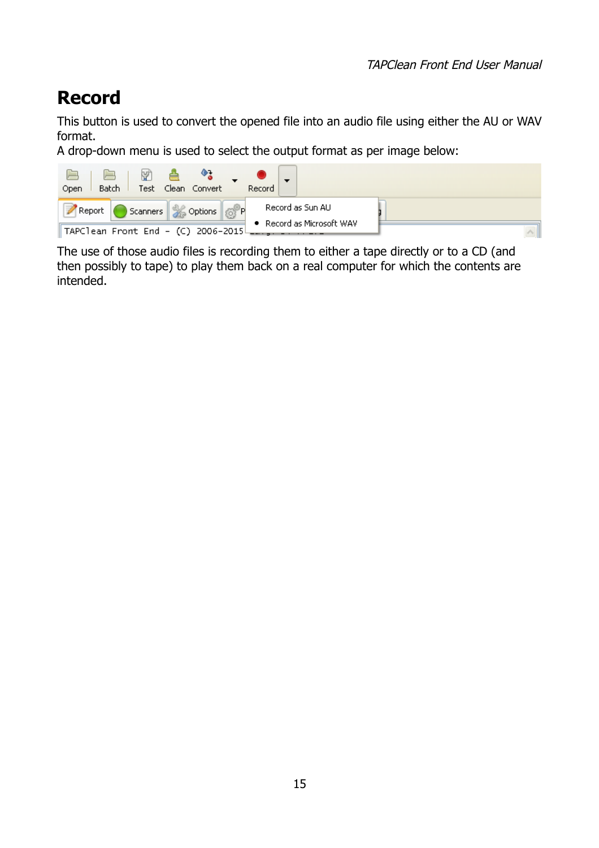# <span id="page-14-0"></span>**Record**

This button is used to convert the opened file into an audio file using either the AU or WAV format.

A drop-down menu is used to select the output format as per image below:



The use of those audio files is recording them to either a tape directly or to a CD (and then possibly to tape) to play them back on a real computer for which the contents are intended.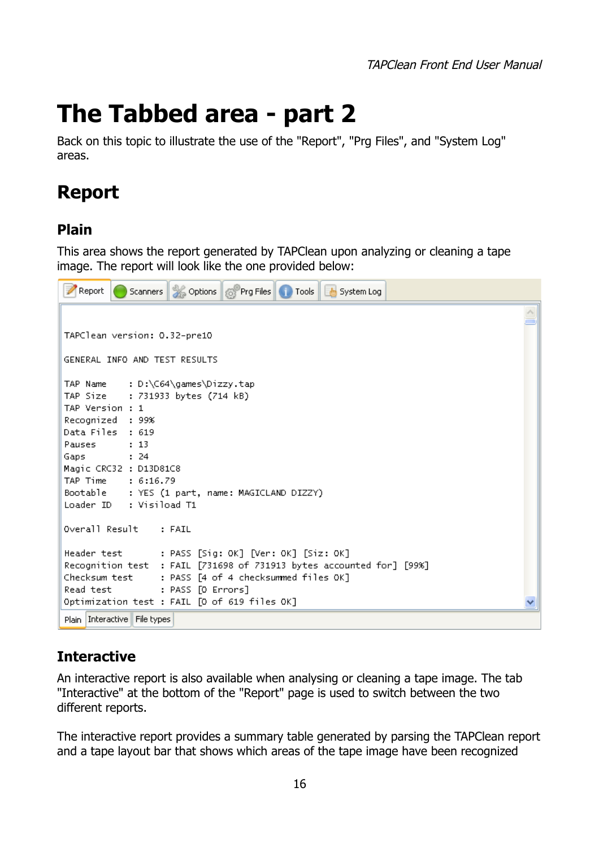# <span id="page-15-3"></span>**The Tabbed area - part 2**

Back on this topic to illustrate the use of the "Report", "Prg Files", and "System Log" areas.

# <span id="page-15-2"></span>**Report**

### <span id="page-15-1"></span>**Plain**

This area shows the report generated by TAPClean upon analyzing or cleaning a tape image. The report will look like the one provided below:



### <span id="page-15-0"></span>**Interactive**

An interactive report is also available when analysing or cleaning a tape image. The tab "Interactive" at the bottom of the "Report" page is used to switch between the two different reports.

The interactive report provides a summary table generated by parsing the TAPClean report and a tape layout bar that shows which areas of the tape image have been recognized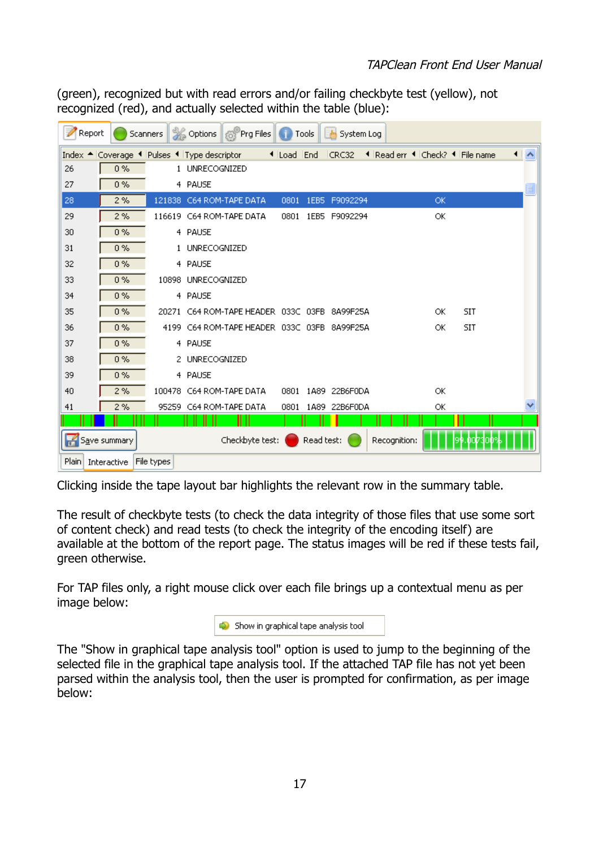(green), recognized but with read errors and/or failing checkbyte test (yellow), not recognized (red), and actually selected within the table (blue):

|       | Report      |              | Scanners                                    |                    | Options 6 Prg Files                         |            | Tools      | <b>de</b><br>System Log |                                 |           |            |                      |
|-------|-------------|--------------|---------------------------------------------|--------------------|---------------------------------------------|------------|------------|-------------------------|---------------------------------|-----------|------------|----------------------|
|       |             |              | Index ▲ Coverage ◀ Pulses ◀ Type descriptor |                    |                                             | I Load End |            | CRC32                   | ◀ Read err ◀ Check? ◀ File name |           |            | $\blacktriangleleft$ |
| 26    |             | $0\%$        |                                             | 1 UNRECOGNIZED     |                                             |            |            |                         |                                 |           |            |                      |
| 27    |             | $0\%$        |                                             | 4 PAUSE            |                                             |            |            |                         |                                 |           |            | E                    |
| 28    |             | 2%           |                                             |                    | 121838 C64 ROM-TAPE DATA                    | 0801       | 1EB5       | F9092294                |                                 | <b>OK</b> |            |                      |
| 29    |             | 2%           |                                             |                    | 116619 C64 ROM-TAPE DATA                    | 0801       |            | 1EB5 F9092294           |                                 | ОК        |            |                      |
| 30    |             | 0%           |                                             | 4 PAUSE            |                                             |            |            |                         |                                 |           |            |                      |
| 31    |             | 0%           |                                             | 1 UNRECOGNIZED     |                                             |            |            |                         |                                 |           |            |                      |
| 32    |             | 0%           |                                             | 4 PAUSE            |                                             |            |            |                         |                                 |           |            |                      |
| 33    |             | 0%           |                                             | 10898 UNRECOGNIZED |                                             |            |            |                         |                                 |           |            |                      |
| 34    |             | $0\%$        |                                             | 4 PAUSE            |                                             |            |            |                         |                                 |           |            |                      |
| 35    |             | 0%           | 20271                                       |                    | C64 ROM-TAPE HEADER 033C 03FB               |            |            | 8A99F25A                |                                 | ОK        | <b>SIT</b> |                      |
| 36    |             | 0%           |                                             |                    | 4199 C64 ROM-TAPE HEADER 033C 03FB 8A99F25A |            |            |                         |                                 | ОК        | <b>SIT</b> |                      |
| 37    |             | 0%           |                                             | 4 PAUSE            |                                             |            |            |                         |                                 |           |            |                      |
| 38    |             | 0%           |                                             | 2 UNRECOGNIZED     |                                             |            |            |                         |                                 |           |            |                      |
| 39    |             | 0%           |                                             | 4 PAUSE            |                                             |            |            |                         |                                 |           |            |                      |
| 40    |             | 2%           |                                             |                    | 100478 C64 ROM-TAPE DATA                    | 0801       |            | 1A89 22B6F0DA           |                                 | ОК        |            |                      |
| 41    |             | 2%           | 95259                                       |                    | C64 ROM-TAPE DATA                           | 0801       |            | 1A89 22B6F0DA           |                                 | ОК        |            |                      |
|       |             |              |                                             |                    |                                             |            |            |                         |                                 |           |            |                      |
| Н     |             | Save summary |                                             |                    | Checkbyte test:                             |            | Read test: |                         | Recognition:                    |           |            |                      |
| Plain | Interactive |              | File types                                  |                    |                                             |            |            |                         |                                 |           |            |                      |

Clicking inside the tape layout bar highlights the relevant row in the summary table.

The result of checkbyte tests (to check the data integrity of those files that use some sort of content check) and read tests (to check the integrity of the encoding itself) are available at the bottom of the report page. The status images will be red if these tests fail, green otherwise.

For TAP files only, a right mouse click over each file brings up a contextual menu as per image below:

| $\bigcirc$ Show in graphical tape analysis tool |  |
|-------------------------------------------------|--|
|-------------------------------------------------|--|

The "Show in graphical tape analysis tool" option is used to jump to the beginning of the selected file in the graphical tape analysis tool. If the attached TAP file has not yet been parsed within the analysis tool, then the user is prompted for confirmation, as per image below: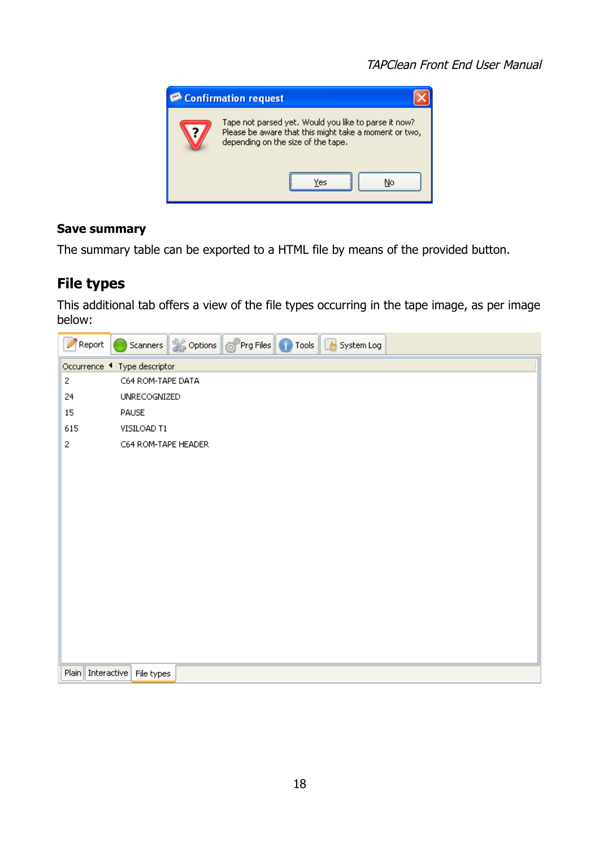

#### <span id="page-17-1"></span>**Save summary**

The summary table can be exported to a HTML file by means of the provided button.

### <span id="page-17-0"></span>**File types**

This additional tab offers a view of the file types occurring in the tape image, as per image below:

| Report            | Scanners & Options & Prg Files Tools & System Log |
|-------------------|---------------------------------------------------|
|                   | Occurrence 4 Type descriptor                      |
| 2                 | C64 ROM-TAPE DATA                                 |
| 24                | <b>UNRECOGNIZED</b>                               |
| 15                | PAUSE                                             |
| 615               | VISILOAD T1                                       |
| 2                 | C64 ROM-TAPE HEADER                               |
|                   |                                                   |
|                   |                                                   |
|                   |                                                   |
|                   |                                                   |
|                   |                                                   |
|                   |                                                   |
|                   |                                                   |
|                   |                                                   |
|                   |                                                   |
|                   |                                                   |
|                   |                                                   |
|                   |                                                   |
|                   |                                                   |
| Plain Interactive | File types                                        |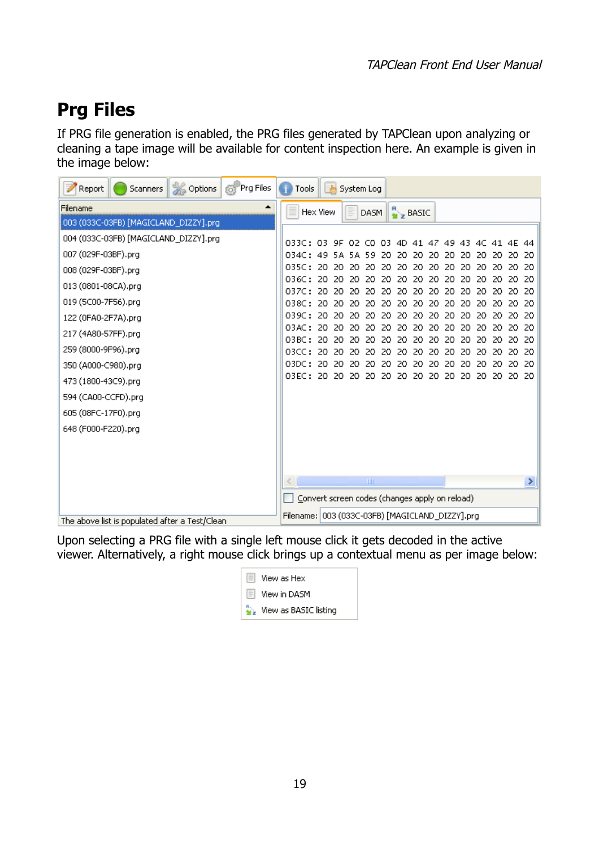# <span id="page-18-0"></span>**Prg Files**

If PRG file generation is enabled, the PRG files generated by TAPClean upon analyzing or cleaning a tape image will be available for content inspection here. An example is given in the image below:

| Prg Files<br>Options<br>Report<br>Scanners     | 凾<br>Tools<br>System Log                                                                                                                                                                      |
|------------------------------------------------|-----------------------------------------------------------------------------------------------------------------------------------------------------------------------------------------------|
| Filename<br>▲                                  | DASM $\left\  \frac{R}{M} \right\ _2$ BASIC<br>Hex View                                                                                                                                       |
| 003 (033C-03FB) [MAGICLAND_DIZZY].prg          |                                                                                                                                                                                               |
| 004 (033C-03FB) [MAGICLAND_DIZZY].prg          | 8336: 83<br>9F 02 CO 03 4D 41 47 49<br>43.<br>40.<br>4F.<br>44                                                                                                                                |
| 007 (029F-03BF).prg                            | 834C : I<br>49<br>20<br>59<br>20<br>20<br>20                                                                                                                                                  |
| 008 (029F-03BF).prg                            | 035C:<br>20.<br>20<br>20<br>-20<br>20<br>20<br>20<br>20.<br>20.<br>20.<br>20<br>20<br>20<br>20.                                                                                               |
| 013 (0801-08CA).prg                            | 036C:<br>20<br>20<br>20.<br>20<br>20<br>20.<br>20.<br>20.<br>20.<br>20.<br>20.<br>20.<br>20.<br>-20<br>0370:<br>20.<br>20<br>20<br>20<br>20<br>20.<br>20<br>20.<br>20.<br>20.                 |
| 019 (5C00-7F56).prg                            | 20<br>20<br>20<br>20<br>038C:<br>20.<br>20.<br>20.<br>-20<br>20.<br>20<br>20.<br>20.<br>20<br>20.<br>20<br>20                                                                                 |
| 122 (0FA0-2F7A).prg                            | 039C:<br>20.<br>20.<br>20.<br>20<br>20<br>20<br>20<br>20<br>20<br>20<br>20<br>20.<br>20.<br>20                                                                                                |
| 217 (4A80-57FF).prg                            | 03AC:<br>20<br>20.<br>20.<br>20<br>20<br>20.<br>20<br>20.<br>20<br>20.<br>20<br>20<br>20.<br>20.                                                                                              |
| 259 (8000-9F96).prg                            | OBBC:<br>20<br>20.<br>20<br>20<br>20.<br>20<br>20<br>20<br>20<br>20<br>20<br>20.<br>20                                                                                                        |
| 350 (A000-C980).prg                            | 03CC:<br>20<br>20<br>20.<br>20<br>20<br>20<br>20<br>20<br>20<br>20<br>20<br>20<br>20<br>20<br>03DC:<br>20.<br>20.<br>20<br>20<br>20<br>20<br>20<br>20<br>20<br>20<br>20.<br>-20<br>20.<br>20. |
| 473 (1800-43C9).prg                            | 03EC: 20<br>20.<br>-20<br>20<br>20<br>20<br>20<br>-20<br>-20.<br>-20<br>20<br>20.<br>20.<br>20.                                                                                               |
|                                                |                                                                                                                                                                                               |
| 594 (CA00-CCFD).prg                            |                                                                                                                                                                                               |
| 605 (08FC-17F0).prg                            |                                                                                                                                                                                               |
| 648 (F000-F220).prg                            |                                                                                                                                                                                               |
|                                                |                                                                                                                                                                                               |
|                                                |                                                                                                                                                                                               |
|                                                | <b>TITL</b>                                                                                                                                                                                   |
|                                                | Convert screen codes (changes apply on reload)                                                                                                                                                |
| The above list is populated after a Test/Clean | Filename: 003 (033C-03FB) [MAGICLAND_DIZZY].prg                                                                                                                                               |

Upon selecting a PRG file with a single left mouse click it gets decoded in the active viewer. Alternatively, a right mouse click brings up a contextual menu as per image below:

| View as Hex                 |  |
|-----------------------------|--|
| View in DASM                |  |
| <b>Wew as BASIC listing</b> |  |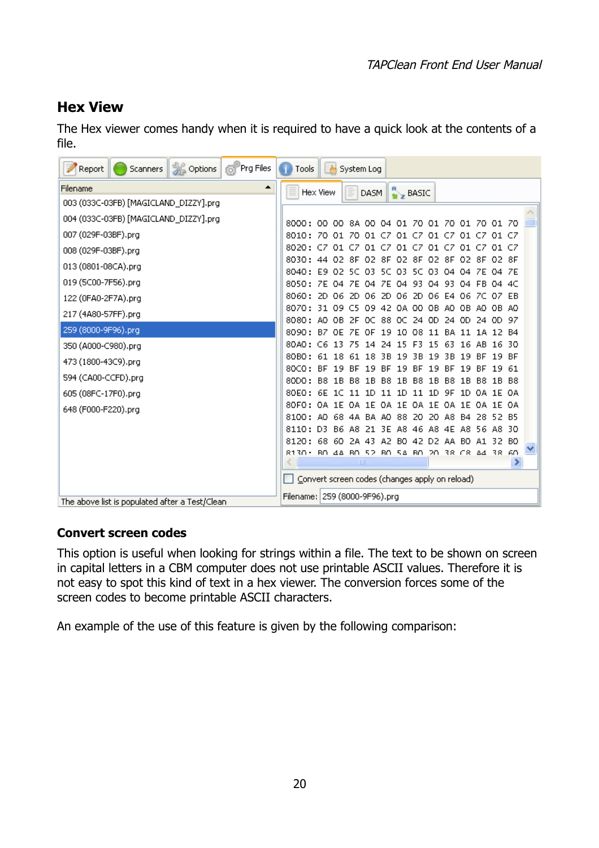### <span id="page-19-1"></span>**Hex View**

The Hex viewer comes handy when it is required to have a quick look at the contents of a file.

| <b>Soptions</b><br><sup>8</sup> Prg Files<br>Report<br>Scanners | 画<br>Tools<br>System Log                                                                                                                                      |
|-----------------------------------------------------------------|---------------------------------------------------------------------------------------------------------------------------------------------------------------|
| Filename<br>▲                                                   | DASM $\left\  \cdot \right\ _2$ BASIC<br>Hex View                                                                                                             |
| 003 (033C-03FB) [MAGICLAND_DIZZY].prg                           |                                                                                                                                                               |
| 004 (033C-03FB) [MAGICLAND_DIZZY].prg                           | 8000: 00 00 8A 00 04 01 70 01 70 01 70 01 70                                                                                                                  |
| 007 (029F-03BF).prg                                             | 8010: 70 01 70 01 CZ<br>01 CZ 01<br>CZ.<br>01 CZ<br>01.                                                                                                       |
| 008 (029F-03BF).prg                                             | 8020: C7 01 C7 01 C7 01 C7 01 C7 01 C7<br>01 CZ                                                                                                               |
| 013 (0801-08CA).prg                                             | O2 8F<br>02 8F 02 8F<br>8030: 44 02 8F<br>O2 8F<br>O2 8F<br>O3.<br>8040: E9 02 5C<br>-03 -<br>5C.<br>5C 03 04<br>04 ZE 04 ZE                                  |
| 019 (5C00-7F56).prg                                             | 8050: 7E 04 7E 04 7E 04 93<br>04.<br>-93.<br>FB 04 4C<br>04                                                                                                   |
| 122 (0FA0-2F7A).prg                                             | 8060:<br>2D 06 2D 06 2D<br>06 2D 06 E4 06 7C 07 EB                                                                                                            |
| 217 (4A80-57FF).prg                                             | 8070: 31 09 C5 09 42 0A 00 0B A0 0B A0 0B A0                                                                                                                  |
| 259 (8000-9F96).prg                                             | 8080: AO OB 2F OC 88 OC 24 OD<br>-24. OD<br>24 OD 97<br>8090: BZ OE ZE OF 19<br>10 08<br>11<br>BA.<br>1A 12 B4<br>-11                                         |
| 350 (A000-C980).prg                                             | 80AO :<br>14 24 15<br>15<br>C6 13 Z5<br>F3.<br>-63<br>16<br>-AB.<br>16 30                                                                                     |
| 473 (1800-43C9).prg                                             | 80BO:<br>61 18<br>3В.<br>19<br>3B<br>19<br>3B<br>19 BF<br>61.<br>18<br>19<br>-BF                                                                              |
| 594 (CA00-CCFD).prg                                             | 19<br>19<br>80CO:<br><b>BE</b><br>-19<br>-19<br>-BF<br>-BF<br>-BF<br>19<br>19 61<br>-RE<br>-RE                                                                |
| 605 (08FC-17F0).prg                                             | 1B<br><b>B8</b><br>1B<br><b>B8</b><br>80DO:<br><b>B8</b><br>1B<br>B8.<br>1 B<br>B8.<br>1B<br>1B B8<br>- B8<br>80FO:<br>6E 1C 11 1D 11 1D 11 1D 9F 1D 0A 1E 0A |
| 648 (F000-F220).prg                                             | 80F0: 0A 1E 0A 1E 0A 1E<br>-OA<br>1E OA 1E<br>OA 1E OA                                                                                                        |
|                                                                 | 68 4A BA AO<br>88<br>-20.<br>20 A8 B4<br>28 52 B5<br>8100: AO                                                                                                 |
|                                                                 | A8 46<br>A8 4E A8<br>8110: D3<br>B6 A8<br>-21-<br>3E<br>56 A8 30                                                                                              |
|                                                                 | A2<br>42 D2 AA B0<br>8120: 68 60<br>2A 43<br>BO.<br>32 BO<br>A1.<br>8130 • BOL4A BOL52 BOL5A BOL2O 38 CRLA4 38 60                                             |
|                                                                 | <b>TITL</b>                                                                                                                                                   |
|                                                                 | Convert screen codes (changes apply on reload)                                                                                                                |
| The above list is populated after a Test/Clean                  | Filename: 259 (8000-9F96).prg                                                                                                                                 |

#### <span id="page-19-0"></span>**Convert screen codes**

This option is useful when looking for strings within a file. The text to be shown on screen in capital letters in a CBM computer does not use printable ASCII values. Therefore it is not easy to spot this kind of text in a hex viewer. The conversion forces some of the screen codes to become printable ASCII characters.

An example of the use of this feature is given by the following comparison: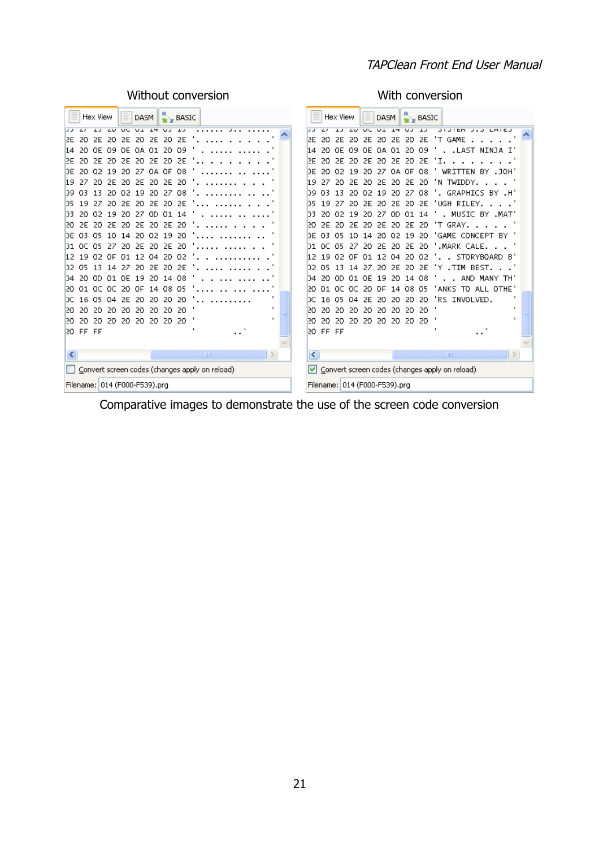#### TAPClean Front End User Manual

 $\blacktriangle$ 

 $\vert \cdot \vert$ 

Without conversion **With Conversion** 

| $\frac{R}{N}$ BASIC<br>Hex View<br>DASM                                 | $\frac{R}{M}$ BASIC<br>Ξ<br>Hex View<br>DASM                                                                                                 |  |  |  |  |
|-------------------------------------------------------------------------|----------------------------------------------------------------------------------------------------------------------------------------------|--|--|--|--|
| <b>20 00 01 14</b><br>$\overline{V}$ $\overline{V}$ $\overline{V}$      | $\overline{1}$<br>$\overline{V}$<br>$\overline{V}$<br><b>3131EM</b><br>$\overline{\phantom{a}}$<br>$\overline{\mathbf{w}}$<br>$\overline{1}$ |  |  |  |  |
| <b>2E</b><br>2E<br>- 20<br>12E<br>2F<br>-20.<br>20<br>2E<br>20.         | 2E 20 2E<br>T GAME<br>2E<br>20<br>2E<br>20<br>2F<br>20.                                                                                      |  |  |  |  |
| 20<br>-09<br>ΟF<br>-01.<br>14<br>20.                                    | 09<br>- LAST<br>NINJA I'<br>20<br>20<br>14<br>01.                                                                                            |  |  |  |  |
| DF.<br>2F<br>2E<br>-20<br>2E<br>20<br>20<br>2E<br>20.                   | 2E<br>-20<br>2E<br>2F<br>20<br>20<br>20                                                                                                      |  |  |  |  |
| DE.<br>OA OF<br>-08<br>-02<br>-19<br>27<br>20.<br>20                    | -08<br>DE<br>19<br>OA OF<br>BY .JOH<br>20<br>-02<br>20<br>27<br>WRIT                                                                         |  |  |  |  |
| 2E<br>19.<br>-27<br>2E<br>20.<br>-20<br>20<br>20                        | 2E<br>-20<br>TWIDDY.<br>19<br>27<br>2Ε<br>20.<br>'N.                                                                                         |  |  |  |  |
| 20<br>-27<br>13<br>-02<br>19<br>-08<br>D9.<br>03.<br>20                 | . GRAPHICS BY .H'<br>27<br>08<br>D9.<br>03<br>13<br>20.<br>02.<br>-19<br>20.                                                                 |  |  |  |  |
| 2E<br>19<br>2E<br>20<br>D5.<br>20.                                      | <b>2E</b><br>'UGH RILEY.<br>D5<br>19<br>2F.<br>20                                                                                            |  |  |  |  |
| -01<br>DB.<br>20<br>02<br>9<br>27<br>OD.<br>14<br>20                    | . MUSIC BY .MAT'<br>19<br>14<br>DЗ<br>20<br>01<br>20<br>27<br>OD.                                                                            |  |  |  |  |
| 20<br>2E<br>20<br>120.<br>2E<br>20<br>2E<br>2E<br>20                    | 'T GRAY.<br>2E<br>120<br>2E<br>2E<br>2E<br>-20<br>20.<br>20.<br>20                                                                           |  |  |  |  |
| 02 19<br>DE 03.<br>O5.<br>-20<br>20.<br>⊿                               | GAME CONCEPT BY<br>DF<br>-03<br>19<br>-20<br>02.<br>o                                                                                        |  |  |  |  |
| -05<br>2E.<br>-20<br>2E<br>-20<br>OC.<br>27<br>20<br>D1.                | .MARK CALE.<br>-05<br>27<br>2E<br>-20<br>OC.<br>20<br>2E<br>20.<br>D1.                                                                       |  |  |  |  |
| 12<br>19<br>02.<br>04<br>20.<br>ΩE<br>O1.<br>2<br>-02                   | STORYBOARD B'<br>12<br>19<br>-02.<br>20<br>-02<br>ΩE<br>2<br>04                                                                              |  |  |  |  |
| D2.<br>-05<br>13<br>2E<br>2E<br>27<br>20.<br>20<br>14                   | . TTM<br>BEST.<br>DZ.<br>Y<br>05<br>13<br>27<br>20<br>2E.                                                                                    |  |  |  |  |
|                                                                         | 20<br>2E<br>14                                                                                                                               |  |  |  |  |
| 19<br>20<br>-08<br>-20-<br>OD.<br>01.<br>-OE<br>14<br>D4.               | AND MANY<br>-08<br>20.<br>19<br>20.<br>14<br>04<br>OD.<br>-01.<br>OE<br>TH.                                                                  |  |  |  |  |
| 01 OC<br>08.<br>14<br>-05<br>12O .<br>oc.<br>20.<br>0E.                 | 20<br>08<br>-05<br>ANKS<br>TO ALL OTHE'<br>01. OC<br>20<br>ΩF<br>14                                                                          |  |  |  |  |
| 16<br>-05<br>2F<br>20<br>20<br>DC.<br>04<br>20.<br>20                   | 'RS INVOLVED.<br>16<br>-05<br>2F<br>20<br>20<br>20<br>DС<br>04<br>20.                                                                        |  |  |  |  |
| $\mathbf{I}$<br>120.<br>20<br>20<br>20<br>20<br>20.<br>20<br>20<br>20   | 20<br>120<br>20<br>20.<br>20<br>20<br>20<br>20.<br>20                                                                                        |  |  |  |  |
| $\mathbf{I}$<br>20<br>20<br>20<br>20<br>120.<br>20<br>20.<br>20.<br>20. | 120<br>20.<br>-20<br>20<br>20<br>20<br>20<br>20.<br>20.                                                                                      |  |  |  |  |
| 20 FF FF                                                                | 20 FF FF                                                                                                                                     |  |  |  |  |
|                                                                         |                                                                                                                                              |  |  |  |  |
| $\rightarrow$<br>$\mathbf{m}$                                           | K<br>$\mathop{\rm Hilb}\nolimits$                                                                                                            |  |  |  |  |
| Convert screen codes (changes apply on reload)                          | ◘ Convert screen codes (changes apply on reload)                                                                                             |  |  |  |  |
| Filename: 014 (F000-F539).prg                                           | Filename: 014 (F000-F539).prg                                                                                                                |  |  |  |  |

Comparative images to demonstrate the use of the screen code conversion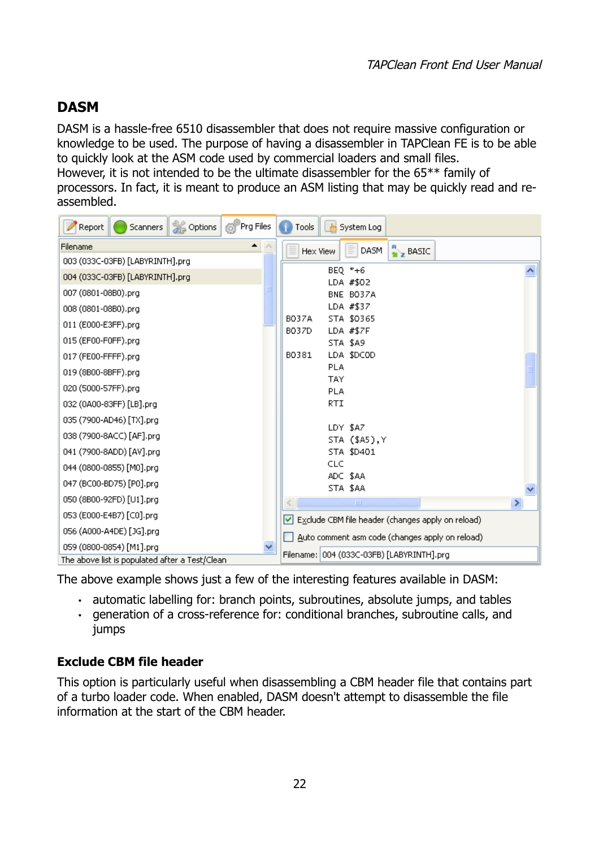### <span id="page-21-1"></span>**DASM**

DASM is a hassle-free 6510 disassembler that does not require massive configuration or knowledge to be used. The purpose of having a disassembler in TAPClean FE is to be able to quickly look at the ASM code used by commercial loaders and small files. However, it is not intended to be the ultimate disassembler for the 65\*\* family of processors. In fact, it is meant to produce an ASM listing that may be quickly read and reassembled.

| Options<br>Report<br>Scanners                                               | <sup>6</sup> Prg Files | Tools<br>System Log                               |  |
|-----------------------------------------------------------------------------|------------------------|---------------------------------------------------|--|
| Filename                                                                    | ▲                      | $\frac{R}{M}$ BASIC<br>DASM<br>Hex View<br>Ξ      |  |
| 003 (033C-03FB) [LABYRINTH].prg                                             |                        |                                                   |  |
| 004 (033C-03FB) [LABYRINTH].prg                                             |                        | BEQ $*+6$<br>LDA #\$02                            |  |
| 007 (0801-08B0).prg                                                         |                        | BNE BO37A                                         |  |
| 008 (0801-08B0).prg                                                         |                        | LDA #\$37                                         |  |
| 011 (E000-E3FF).prg                                                         |                        | STA \$0365<br><b>BO37A</b>                        |  |
| 015 (EF00-F0FF).prg                                                         |                        | LDA #\$7F<br>B037D<br>STA \$A9                    |  |
| 017 (FE00-FFFF).prg                                                         |                        | LDA \$DCOD<br>B0381                               |  |
| 019 (8B00-8BFF).prg                                                         |                        | <b>PLA</b>                                        |  |
| 020 (5000-57FF).prg                                                         |                        | <b>TAY</b>                                        |  |
| 032 (0A00-83FF) [LB].prg                                                    |                        | <b>PLA</b><br>RTI                                 |  |
|                                                                             |                        |                                                   |  |
| 035 (7900-AD46) [TX].prg                                                    |                        | LDY \$A7                                          |  |
| 038 (7900-8ACC) [AF].prg                                                    |                        | STA (\$A5), Y                                     |  |
| 041 (7900-8ADD) [AV].prg                                                    |                        | STA \$D401                                        |  |
| 044 (0800-0855) [M0].prg                                                    |                        | CLC<br>ADC \$AA                                   |  |
| 047 (BC00-BD75) [P0].prg                                                    |                        | STA \$AA                                          |  |
| 050 (8B00-92FD) [U1].prg                                                    |                        | $\mathbf{III}$<br>×                               |  |
| 053 (E000-E4B7) [C0].prg                                                    |                        | Exclude CBM file header (changes apply on reload) |  |
| 056 (A000-A4DE) [JG].prg                                                    |                        | Auto comment asm code (changes apply on reload)   |  |
| 059 (0800-0854) [M1].prg<br>The above list is populated after a Test/Clean. |                        | Filename: 004 (033C-03FB) [LABYRINTH].prg         |  |

The above example shows just a few of the interesting features available in DASM:

- automatic labelling for: branch points, subroutines, absolute jumps, and tables
- generation of a cross-reference for: conditional branches, subroutine calls, and jumps

#### <span id="page-21-0"></span>**Exclude CBM file header**

This option is particularly useful when disassembling a CBM header file that contains part of a turbo loader code. When enabled, DASM doesn't attempt to disassemble the file information at the start of the CBM header.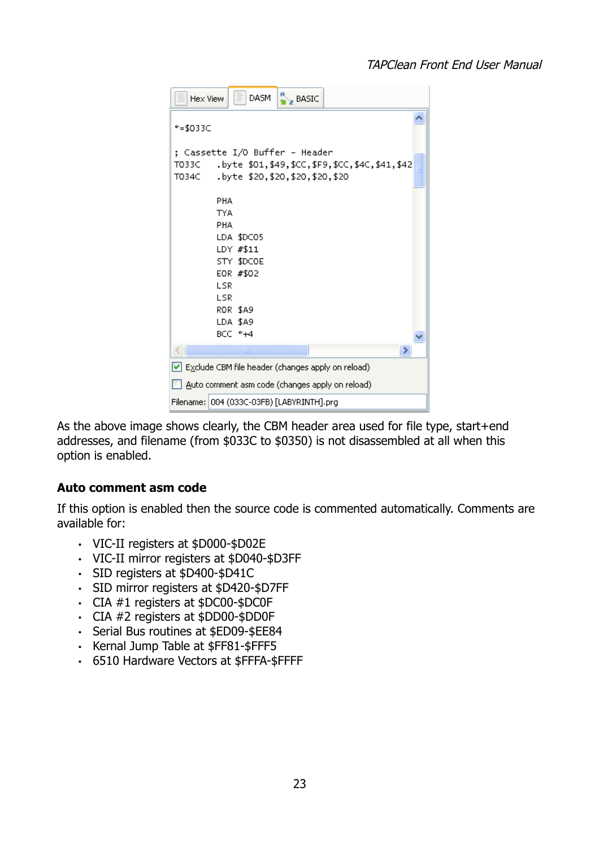#### TAPClean Front End User Manual

| Hex View                                          | <b>DASM</b>                                                                                    | $\frac{R}{m}$ BASIC |                                               |  |  |
|---------------------------------------------------|------------------------------------------------------------------------------------------------|---------------------|-----------------------------------------------|--|--|
| $* = $033C$                                       |                                                                                                |                     |                                               |  |  |
| ; Cassette I/O Buffer – Header<br>T033C<br>T034C  | .byte \$20,\$20,\$20,\$20,\$20                                                                 |                     | .byte \$01,\$49,\$CC,\$F9,\$CC,\$4C,\$41,\$42 |  |  |
| PHA<br><b>TYA</b><br>PHA<br>LSR<br><b>LSR</b>     | LDA \$DCO5<br>LDY #\$11<br>STY \$DCOE<br>EOR #\$02<br><b>ROR \$A9</b><br>LDA \$A9<br>BCC $*+4$ |                     |                                               |  |  |
|                                                   | ШI                                                                                             |                     | >                                             |  |  |
| Exclude CBM file header (changes apply on reload) |                                                                                                |                     |                                               |  |  |
|                                                   | Auto comment asm code (changes apply on reload)                                                |                     |                                               |  |  |
| Filename: 004 (033C-03FB) [LABYRINTH].prg         |                                                                                                |                     |                                               |  |  |

As the above image shows clearly, the CBM header area used for file type, start+end addresses, and filename (from \$033C to \$0350) is not disassembled at all when this option is enabled.

#### <span id="page-22-0"></span>**Auto comment asm code**

If this option is enabled then the source code is commented automatically. Comments are available for:

- VIC-II registers at \$D000-\$D02E
- VIC-II mirror registers at \$D040-\$D3FF
- SID registers at \$D400-\$D41C
- SID mirror registers at \$D420-\$D7FF
- CIA #1 registers at \$DC00-\$DC0F
- CIA #2 registers at \$DD00-\$DD0F
- Serial Bus routines at \$ED09-\$EE84
- Kernal Jump Table at \$FF81-\$FFF5
- 6510 Hardware Vectors at \$FFFA-\$FFFF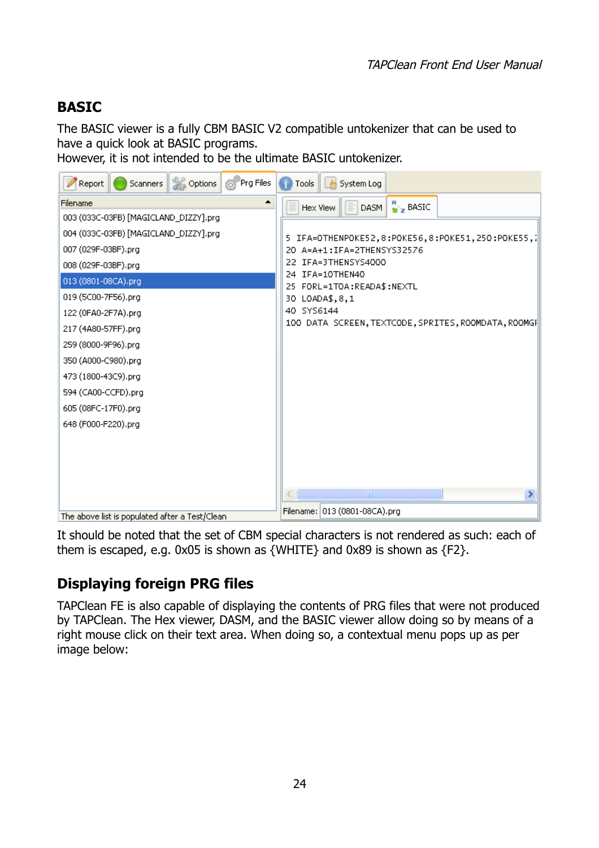### <span id="page-23-0"></span>**BASIC**

The BASIC viewer is a fully CBM BASIC V2 compatible untokenizer that can be used to have a quick look at BASIC programs.

However, it is not intended to be the ultimate BASIC untokenizer.



It should be noted that the set of CBM special characters is not rendered as such: each of them is escaped, e.g. 0x05 is shown as {WHITE} and 0x89 is shown as {F2}.

## <span id="page-23-1"></span>**Displaying foreign PRG files**

TAPClean FE is also capable of displaying the contents of PRG files that were not produced by TAPClean. The Hex viewer, DASM, and the BASIC viewer allow doing so by means of a right mouse click on their text area. When doing so, a contextual menu pops up as per image below: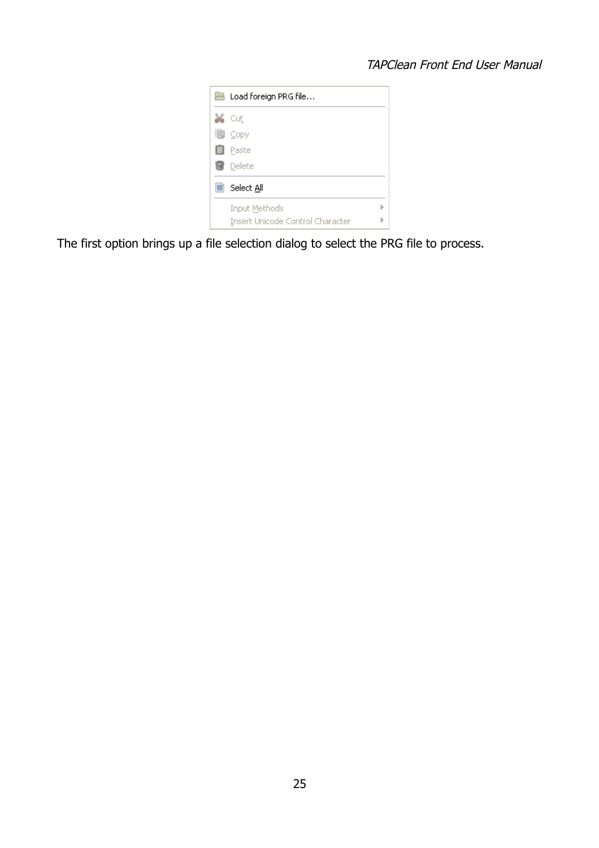#### TAPClean Front End User Manual

|   | <b>B</b> Load foreign PRG file   |  |
|---|----------------------------------|--|
|   | Cut                              |  |
| m | Copy                             |  |
|   | Paste                            |  |
|   | Delete                           |  |
| 筒 | Select All                       |  |
|   | Input Methods                    |  |
|   | Insert Unicode Control Character |  |

The first option brings up a file selection dialog to select the PRG file to process.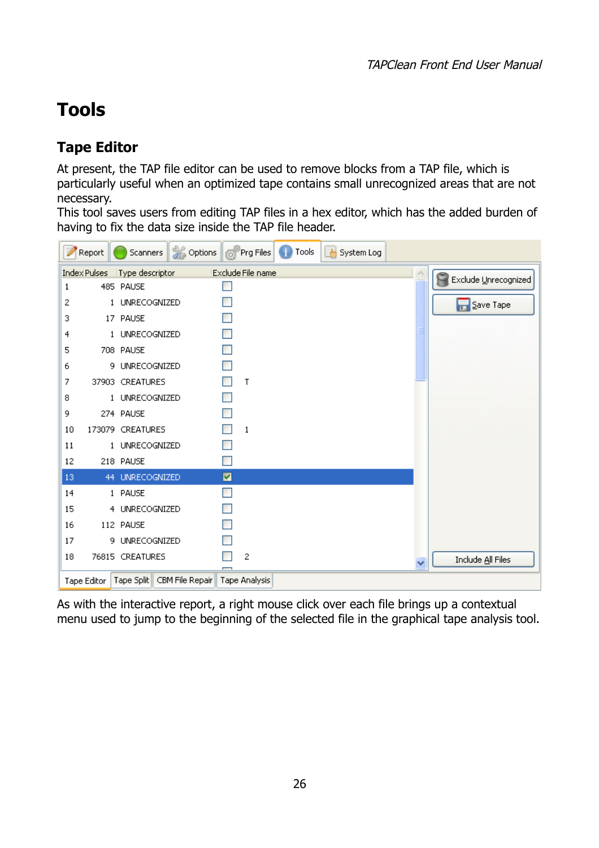# <span id="page-25-1"></span>**Tools**

### <span id="page-25-0"></span>**Tape Editor**

At present, the TAP file editor can be used to remove blocks from a TAP file, which is particularly useful when an optimized tape contains small unrecognized areas that are not necessary.

This tool saves users from editing TAP files in a hex editor, which has the added burden of having to fix the data size inside the TAP file header.



As with the interactive report, a right mouse click over each file brings up a contextual menu used to jump to the beginning of the selected file in the graphical tape analysis tool.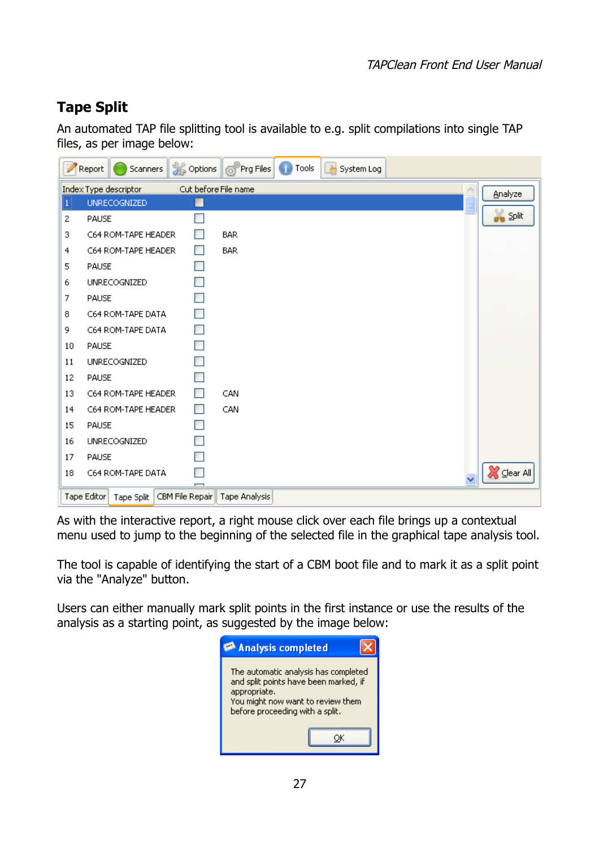### <span id="page-26-0"></span>**Tape Split**

An automated TAP file splitting tool is available to e.g. split compilations into single TAP files, as per image below:

|    | Report<br>Scanners                           |                          | Options 6 Prg Files | Œ<br>Tools | $\frac{1}{2}$<br>System Log |   |                    |
|----|----------------------------------------------|--------------------------|---------------------|------------|-----------------------------|---|--------------------|
|    | Index Type descriptor                        | Cut before File name     |                     |            |                             |   | Analyze            |
| 11 | <b>UNRECOGNIZED</b>                          |                          |                     |            |                             | Ē |                    |
| 2  | PAUSE                                        |                          |                     |            |                             |   | on Split           |
| 3  | C64 ROM-TAPE HEADER                          | e.                       | <b>BAR</b>          |            |                             |   |                    |
| 4  | C64 ROM-TAPE HEADER                          | $\blacksquare$           | <b>BAR</b>          |            |                             |   |                    |
| 5  | PAUSE                                        | T                        |                     |            |                             |   |                    |
| 6  | UNRECOGNIZED                                 | <b>The Second Second</b> |                     |            |                             |   |                    |
| 7  | PAUSE                                        | ×                        |                     |            |                             |   |                    |
| 8  | C64 ROM-TAPE DATA                            | <b>Ta</b>                |                     |            |                             |   |                    |
| 9. | C64 ROM-TAPE DATA                            | $\blacksquare$           |                     |            |                             |   |                    |
| 10 | PAUSE                                        | <b>T</b>                 |                     |            |                             |   |                    |
| 11 | UNRECOGNIZED                                 |                          |                     |            |                             |   |                    |
| 12 | PAUSE                                        |                          |                     |            |                             |   |                    |
| 13 | C64 ROM-TAPE HEADER                          | <b>In</b>                | CAN                 |            |                             |   |                    |
| 14 | C64 ROM-TAPE HEADER                          | H                        | CAN                 |            |                             |   |                    |
| 15 | PAUSE                                        | ×                        |                     |            |                             |   |                    |
| 16 | UNRECOGNIZED                                 |                          |                     |            |                             |   |                    |
| 17 | PAUSE                                        |                          |                     |            |                             |   |                    |
| 18 | C64 ROM-TAPE DATA                            |                          |                     |            |                             |   | <b>X</b> Clear All |
|    | CBM File Repair<br>Tape Editor<br>Tape Split |                          | Tape Analysis       |            |                             |   |                    |

As with the interactive report, a right mouse click over each file brings up a contextual menu used to jump to the beginning of the selected file in the graphical tape analysis tool.

The tool is capable of identifying the start of a CBM boot file and to mark it as a split point via the "Analyze" button.

Users can either manually mark split points in the first instance or use the results of the analysis as a starting point, as suggested by the image below:

| Analysis completed                                                                                                                                                    |
|-----------------------------------------------------------------------------------------------------------------------------------------------------------------------|
| The automatic analysis has completed<br>and split points have been marked, if<br>appropriate.<br>You might now want to review them<br>before proceeding with a split. |
|                                                                                                                                                                       |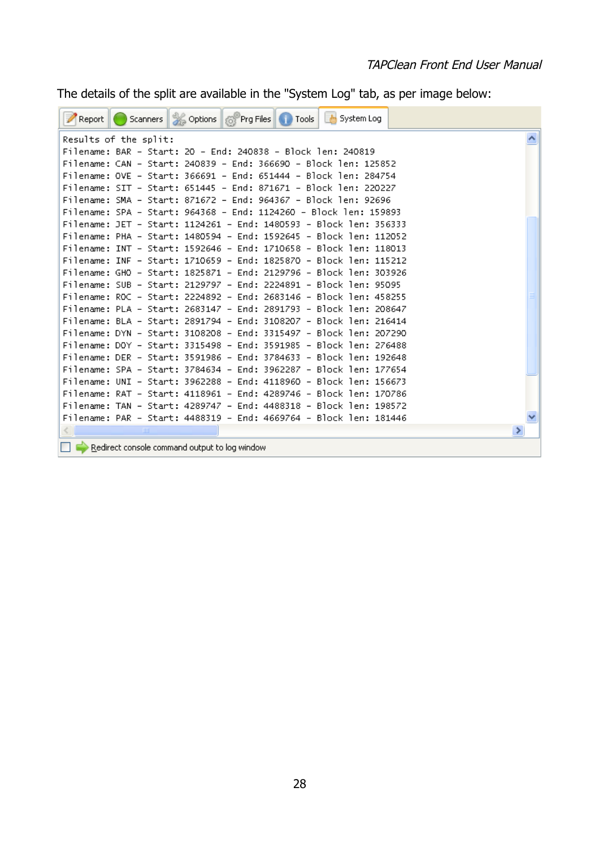The details of the split are available in the "System Log" tab, as per image below:

| Scanners & Options & Prg Files 1 Tools<br>System Log<br>Report    |  |
|-------------------------------------------------------------------|--|
| Results of the split:                                             |  |
| Filename: BAR – Start: 20 – End: 240838 – Block len: 240819       |  |
| Filename: CAN - Start: 240839 - End: 366690 - Block len: 125852   |  |
| Filename: OVE - Start: 366691 - End: 651444 - Block len: 284754   |  |
| Filename: SIT - Start: 651445 - End: 871671 - Block len: 220227   |  |
| Filename: SMA – Start: 871672 – End: 964367 – Block len: 92696    |  |
| Filename: SPA – Start: 964368 – End: 1124260 – Block len: 159893  |  |
| Filename: JET - Start: 1124261 - End: 1480593 - Block len: 356333 |  |
| Filename: PHA – Start: 1480594 – End: 1592645 – Block len: 112052 |  |
| Filename: INT - Start: 1592646 - End: 1710658 - Block len: 118013 |  |
| Filename: INF - Start: 1710659 - End: 1825870 - Block len: 115212 |  |
| Filename: GHO – Start: 1825871 – End: 2129796 – Block len: 303926 |  |
| Filename: SUB – Start: 2129797 – End: 2224891 – Block len: 95095  |  |
| Filename: ROC - Start: 2224892 - End: 2683146 - Block len: 458255 |  |
| Filename: PLA – Start: 2683147 – End: 2891793 – Block len: 208647 |  |
| Filename: BLA – Start: 2891794 – End: 3108207 – Block len: 216414 |  |
| Filename: DYN - Start: 3108208 - End: 3315497 - Block len: 207290 |  |
| Filename: DOY – Start: 3315498 – End: 3591985 – Block len: 276488 |  |
| Filename: DER – Start: 3591986 – End: 3784633 – Block len: 192648 |  |
| Filename: SPA – Start: 3784634 – End: 3962287 – Block len: 177654 |  |
| Filename: UNI – Start: 3962288 – End: 4118960 – Block len: 156673 |  |
| Filename: RAT – Start: 4118961 – End: 4289746 – Block len: 170786 |  |
| Filename: TAN - Start: 4289747 - End: 4488318 - Block len: 198572 |  |
| Filename: PAR – Start: 4488319 – End: 4669764 – Block len: 181446 |  |
| <b>TILL</b>                                                       |  |
| Redirect console command output to log window                     |  |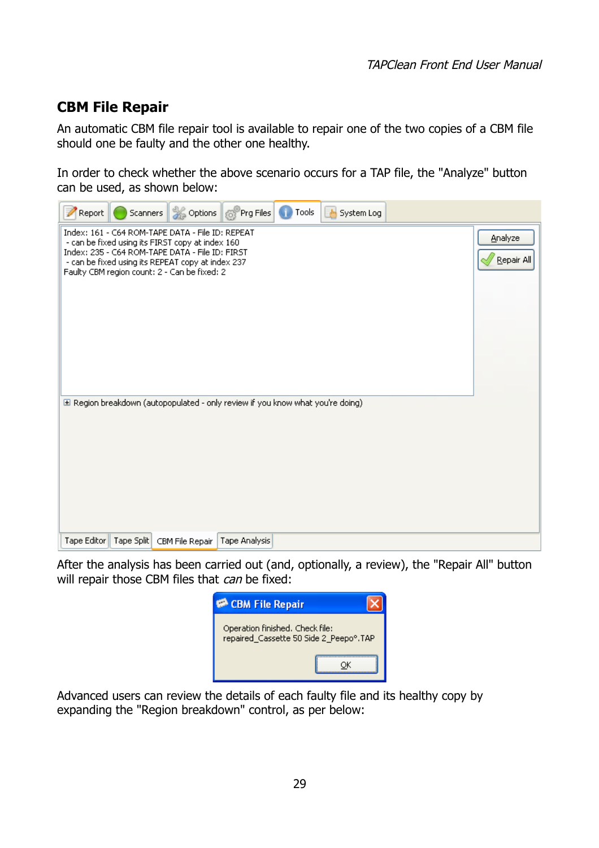### <span id="page-28-0"></span>**CBM File Repair**

An automatic CBM file repair tool is available to repair one of the two copies of a CBM file should one be faulty and the other one healthy.

In order to check whether the above scenario occurs for a TAP file, the "Analyze" button can be used, as shown below:



After the analysis has been carried out (and, optionally, a review), the "Repair All" button will repair those CBM files that can be fixed:



Advanced users can review the details of each faulty file and its healthy copy by expanding the "Region breakdown" control, as per below: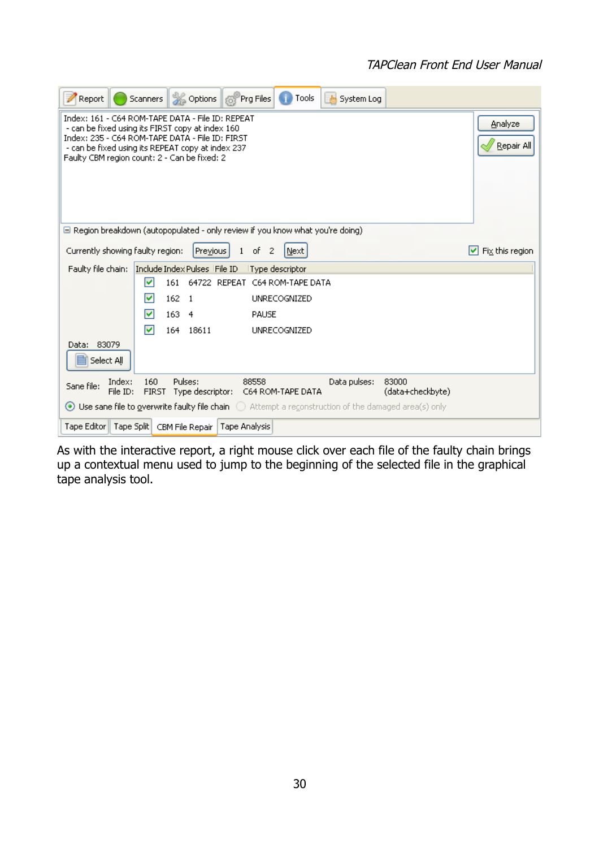#### TAPClean Front End User Manual

| Report<br>Scanners                                                                                                                                                                                       | Options 6 Prg Files<br>l Tools<br>System Log                                                           |                       |  |  |  |
|----------------------------------------------------------------------------------------------------------------------------------------------------------------------------------------------------------|--------------------------------------------------------------------------------------------------------|-----------------------|--|--|--|
| - can be fixed using its FIRST copy at index 160<br>Index: 235 - C64 ROM-TAPE DATA - File ID: FIRST<br>- can be fixed using its REPEAT copy at index 237<br>Faulty CBM region count: 2 - Can be fixed: 2 | Index: 161 - C64 ROM-TAPE DATA - File ID: REPEAT                                                       | Analyze<br>Repair All |  |  |  |
|                                                                                                                                                                                                          | $\Box$ Region breakdown (autopopulated - only review if you know what you're doing)                    |                       |  |  |  |
| Currently showing faulty region:                                                                                                                                                                         | Previous<br>of<br>$\mathbf{1}$<br>$\overline{c}$<br>Next                                               | Fix this region<br>M  |  |  |  |
| Faulty file chain:                                                                                                                                                                                       | Include Index Pulses File ID<br>Type descriptor                                                        |                       |  |  |  |
| M                                                                                                                                                                                                        | 161<br>64722 REPEAT<br>C64 ROM-TAPE DATA                                                               |                       |  |  |  |
| M                                                                                                                                                                                                        | 162<br><b>UNRECOGNIZED</b><br>-1                                                                       |                       |  |  |  |
| ⊽                                                                                                                                                                                                        | 163<br>PAUSE<br>4                                                                                      |                       |  |  |  |
| ⊽                                                                                                                                                                                                        | 164<br>18611<br><b>UNRECOGNIZED</b>                                                                    |                       |  |  |  |
| Data: 83079<br>Select All                                                                                                                                                                                |                                                                                                        |                       |  |  |  |
| Index:<br>160<br>Sane file:<br>File ID:<br><b>FIRST</b>                                                                                                                                                  | Pulses:<br>Data pulses:<br>83000<br>88558<br>(data+checkbyte)<br>Type descriptor:<br>C64 ROM-TAPE DATA |                       |  |  |  |
| $\odot$ Use sane file to gyerwrite faulty file chain $\odot$ Attempt a reconstruction of the damaged area(s) only                                                                                        |                                                                                                        |                       |  |  |  |
| Tape Editor   Tape Split   CBM File Repair                                                                                                                                                               | Tape Analysis                                                                                          |                       |  |  |  |

As with the interactive report, a right mouse click over each file of the faulty chain brings up a contextual menu used to jump to the beginning of the selected file in the graphical tape analysis tool.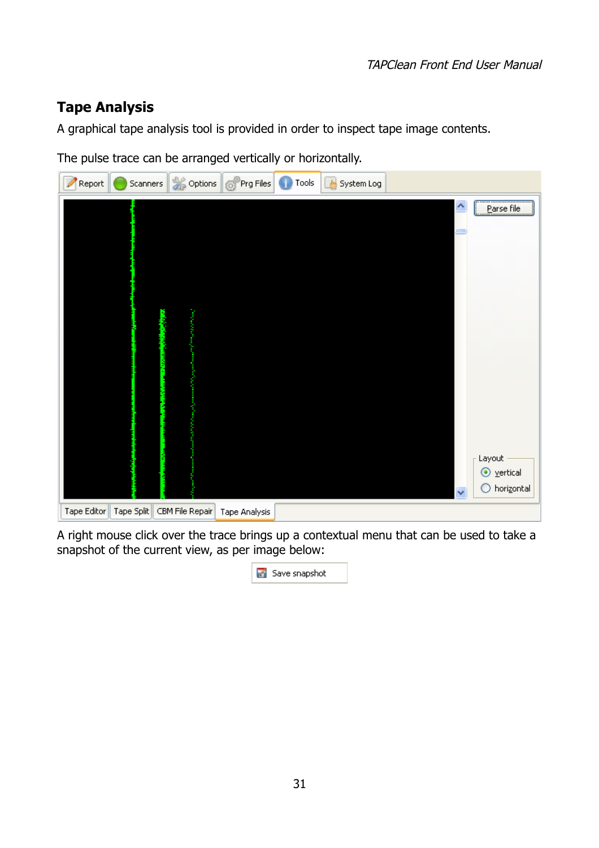### <span id="page-30-0"></span>**Tape Analysis**

A graphical tape analysis tool is provided in order to inspect tape image contents.

The pulse trace can be arranged vertically or horizontally.



A right mouse click over the trace brings up a contextual menu that can be used to take a snapshot of the current view, as per image below: